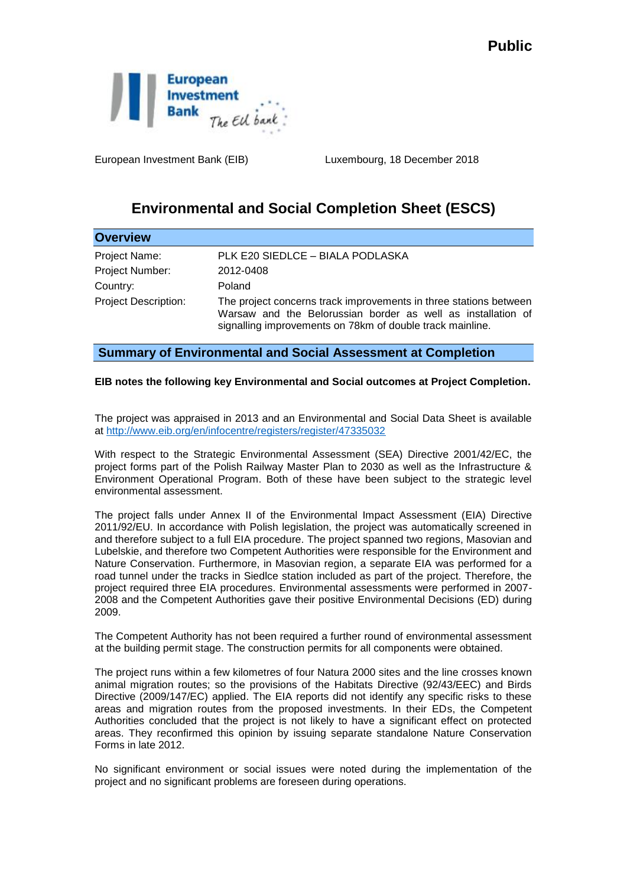

European Investment Bank (EIB) Luxembourg, 18 December 2018

## **Environmental and Social Completion Sheet (ESCS)**

| <b>Overview</b>             |                                                                                                                                                                                                |
|-----------------------------|------------------------------------------------------------------------------------------------------------------------------------------------------------------------------------------------|
| Project Name:               | PLK E20 SIEDLCE - BIALA PODLASKA                                                                                                                                                               |
| Project Number:             | 2012-0408                                                                                                                                                                                      |
| Country:                    | Poland                                                                                                                                                                                         |
| <b>Project Description:</b> | The project concerns track improvements in three stations between<br>Warsaw and the Belorussian border as well as installation of<br>signalling improvements on 78km of double track mainline. |

## **Summary of Environmental and Social Assessment at Completion**

## **EIB notes the following key Environmental and Social outcomes at Project Completion.**

The project was appraised in 2013 and an Environmental and Social Data Sheet is available at <http://www.eib.org/en/infocentre/registers/register/47335032>

With respect to the Strategic Environmental Assessment (SEA) Directive 2001/42/EC, the project forms part of the Polish Railway Master Plan to 2030 as well as the Infrastructure & Environment Operational Program. Both of these have been subject to the strategic level environmental assessment.

The project falls under Annex II of the Environmental Impact Assessment (EIA) Directive 2011/92/EU. In accordance with Polish legislation, the project was automatically screened in and therefore subject to a full EIA procedure. The project spanned two regions, Masovian and Lubelskie, and therefore two Competent Authorities were responsible for the Environment and Nature Conservation. Furthermore, in Masovian region, a separate EIA was performed for a road tunnel under the tracks in Siedlce station included as part of the project. Therefore, the project required three EIA procedures. Environmental assessments were performed in 2007- 2008 and the Competent Authorities gave their positive Environmental Decisions (ED) during 2009.

The Competent Authority has not been required a further round of environmental assessment at the building permit stage. The construction permits for all components were obtained.

The project runs within a few kilometres of four Natura 2000 sites and the line crosses known animal migration routes; so the provisions of the Habitats Directive (92/43/EEC) and Birds Directive (2009/147/EC) applied. The EIA reports did not identify any specific risks to these areas and migration routes from the proposed investments. In their EDs, the Competent Authorities concluded that the project is not likely to have a significant effect on protected areas. They reconfirmed this opinion by issuing separate standalone Nature Conservation Forms in late 2012.

No significant environment or social issues were noted during the implementation of the project and no significant problems are foreseen during operations.